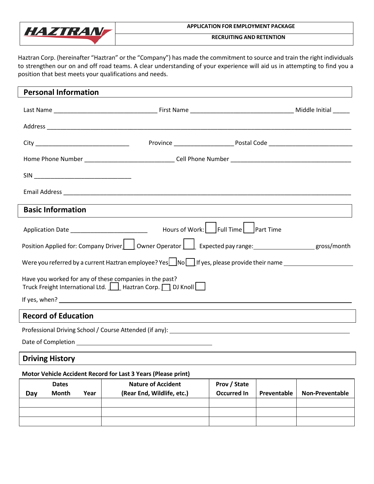

#### **APPLICATION FOR EMPLOYMENT PACKAGE**

**RECRUITING AND RETENTION**

Haztran Corp. (hereinafter "Haztran" or the "Company") has made the commitment to source and train the right individuals to strengthen our on and off road teams. A clear understanding of your experience will aid us in attempting to find you a position that best meets your qualifications and needs.

| <b>Personal Information</b>                                                                                                                                                                                                                   |  |  |  |  |
|-----------------------------------------------------------------------------------------------------------------------------------------------------------------------------------------------------------------------------------------------|--|--|--|--|
|                                                                                                                                                                                                                                               |  |  |  |  |
|                                                                                                                                                                                                                                               |  |  |  |  |
|                                                                                                                                                                                                                                               |  |  |  |  |
|                                                                                                                                                                                                                                               |  |  |  |  |
|                                                                                                                                                                                                                                               |  |  |  |  |
|                                                                                                                                                                                                                                               |  |  |  |  |
| <b>Basic Information</b>                                                                                                                                                                                                                      |  |  |  |  |
| Application Date _______________________________  Hours of Work: L_______________                                                                                                                                                             |  |  |  |  |
| Position Applied for: Company Driver     Owner Operator     Expected pay range: __________________gross/month                                                                                                                                 |  |  |  |  |
| Were you referred by a current Haztran employee? Yes $\Box$ No $\Box$ If yes, please provide their name                                                                                                                                       |  |  |  |  |
| Have you worked for any of these companies in the past?<br>Truck Freight International Ltd.     Haztran Corp.   DJ Knoll                                                                                                                      |  |  |  |  |
|                                                                                                                                                                                                                                               |  |  |  |  |
| <b>Record of Education</b>                                                                                                                                                                                                                    |  |  |  |  |
|                                                                                                                                                                                                                                               |  |  |  |  |
| $\mathbf{r} = \mathbf{r} + \mathbf{r}$ , and the set of the set of the set of the set of the set of the set of the set of the set of the set of the set of the set of the set of the set of the set of the set of the set of the set of the s |  |  |  |  |

Date of Completion \_

### **Driving History**

### **Motor Vehicle Accident Record for Last 3 Years (Please print)**

|     | <b>Dates</b> |      | <b>Nature of Accident</b>  | Prov / State |             |                        |
|-----|--------------|------|----------------------------|--------------|-------------|------------------------|
| Day | <b>Month</b> | Year | (Rear End, Wildlife, etc.) | Occurred In  | Preventable | <b>Non-Preventable</b> |
|     |              |      |                            |              |             |                        |
|     |              |      |                            |              |             |                        |
|     |              |      |                            |              |             |                        |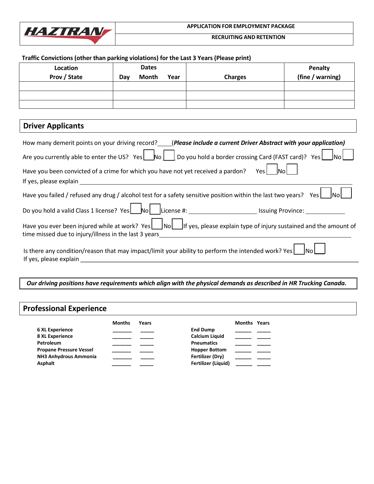

#### **APPLICATION FOR EMPLOYMENT PACKAGE**

**RECRUITING AND RETENTION**

### **Traffic Convictions (other than parking violations) for the Last 3 Years (Please print)**

| Location<br>Prov / State | Dav | <b>Dates</b><br><b>Month</b> | Year | <b>Charges</b> | Penalty<br>(fine / warning) |
|--------------------------|-----|------------------------------|------|----------------|-----------------------------|
|                          |     |                              |      |                |                             |
|                          |     |                              |      |                |                             |
|                          |     |                              |      |                |                             |

# **Driver Applicants**

| How many demerit points on your driving record? (Please include a current Driver Abstract with your application)                                                                                                                                                                                          |
|-----------------------------------------------------------------------------------------------------------------------------------------------------------------------------------------------------------------------------------------------------------------------------------------------------------|
| Are you currently able to enter the US? Yes $\Box$ Do you hold a border crossing Card (FAST card)? Yes $\Box$ No                                                                                                                                                                                          |
| Have you been convicted of a crime for which you have not yet received a pardon?<br>Yes No<br>If yes, please explain                                                                                                                                                                                      |
| Have you failed / refused any drug / alcohol test for a safety sensitive position within the last two years? Yes $\Box$ No $\Box$                                                                                                                                                                         |
|                                                                                                                                                                                                                                                                                                           |
| Have you ever been injured while at work? Yes   No   If yes, please explain type of injury sustained and the amount of<br>time missed due to injury/illness in the last 3 years<br><u> 1980 - Jan Samuel Barbara, margaret e populazion del control del control del control del control de la control</u> |
| Is there any condition/reason that may impact/limit your ability to perform the intended work? Yes $\lfloor$ No $\lfloor$<br>If yes, please explain                                                                                                                                                       |

*Our driving positions have requirements which align with the physical demands as described in HR Trucking Canada.*

## **Professional Experience**

|                                | Months | Years |                            | <b>Months Years</b> |  |
|--------------------------------|--------|-------|----------------------------|---------------------|--|
| <b>6 XL Experience</b>         |        |       | <b>End Dump</b>            |                     |  |
| <b>8 XL Experience</b>         |        |       | <b>Calcium Liquid</b>      |                     |  |
| Petroleum                      |        |       | <b>Pneumatics</b>          |                     |  |
| <b>Propane Pressure Vessel</b> |        |       | <b>Hopper Bottom</b>       |                     |  |
| NH3 Anhydrous Ammonia          |        |       | Fertilizer (Dry)           |                     |  |
| <b>Asphalt</b>                 |        |       | <b>Fertilizer (Liquid)</b> |                     |  |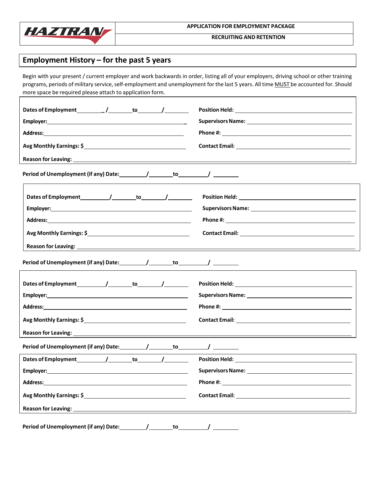

**RECRUITING AND RETENTION**

# **Employment History – for the past 5 years**

Begin with your present / current employer and work backwards in order, listing all of your employers, driving school or other training programs, periods of military service, self-employment and unemployment for the last 5 years. All time MUST be accounted for. Should more space be required please attach to application form.

|                                                                                                                                                                                                                                | Supervisors Name: Name and Supervisors Name and Supervisors Name and Supervisors Name and Supervisors of the Supervisors of the Supervisors of the Supervisors of the Supervisors of the Supervisors of the Supervisors of the |
|--------------------------------------------------------------------------------------------------------------------------------------------------------------------------------------------------------------------------------|--------------------------------------------------------------------------------------------------------------------------------------------------------------------------------------------------------------------------------|
|                                                                                                                                                                                                                                |                                                                                                                                                                                                                                |
| Avg Monthly Earnings: \$                                                                                                                                                                                                       |                                                                                                                                                                                                                                |
|                                                                                                                                                                                                                                |                                                                                                                                                                                                                                |
| Period of Unemployment (if any) Date: __________/ ________ to __________/ ________                                                                                                                                             |                                                                                                                                                                                                                                |
|                                                                                                                                                                                                                                |                                                                                                                                                                                                                                |
|                                                                                                                                                                                                                                |                                                                                                                                                                                                                                |
|                                                                                                                                                                                                                                |                                                                                                                                                                                                                                |
|                                                                                                                                                                                                                                |                                                                                                                                                                                                                                |
|                                                                                                                                                                                                                                |                                                                                                                                                                                                                                |
|                                                                                                                                                                                                                                |                                                                                                                                                                                                                                |
|                                                                                                                                                                                                                                |                                                                                                                                                                                                                                |
|                                                                                                                                                                                                                                |                                                                                                                                                                                                                                |
|                                                                                                                                                                                                                                |                                                                                                                                                                                                                                |
|                                                                                                                                                                                                                                |                                                                                                                                                                                                                                |
| Reason for Leaving: and the contract of the contract of the contract of the contract of the contract of the contract of the contract of the contract of the contract of the contract of the contract of the contract of the co |                                                                                                                                                                                                                                |
|                                                                                                                                                                                                                                | <u> 1989 - Johann John Stone, Amerikaansk politiker († 1908)</u>                                                                                                                                                               |
| Dates of Employment 1 1 to 1                                                                                                                                                                                                   |                                                                                                                                                                                                                                |
| <b>Employer:</b> Employer:                                                                                                                                                                                                     | Supervisors Name: Name and Supervisors Name and Supervisors Name and Supervisors Name and Supervisors of the S                                                                                                                 |
| Address:<br><u> 1980 - Johann Barn, mars ann an t-Amhain Aonaich an t-Aonaich an t-Aonaich ann an t-Aonaich ann an t-Aonaich</u>                                                                                               |                                                                                                                                                                                                                                |
|                                                                                                                                                                                                                                |                                                                                                                                                                                                                                |
|                                                                                                                                                                                                                                |                                                                                                                                                                                                                                |
|                                                                                                                                                                                                                                |                                                                                                                                                                                                                                |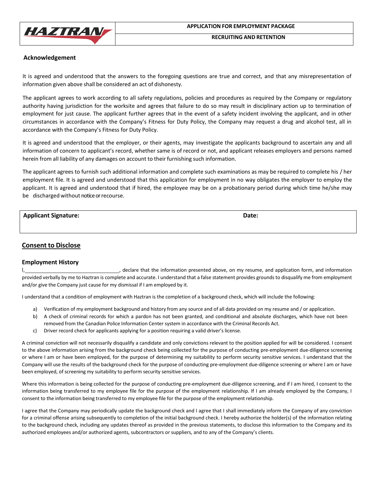

**RECRUITING AND RETENTION**

#### **Acknowledgement**

It is agreed and understood that the answers to the foregoing questions are true and correct, and that any misrepresentation of information given above shall be considered an act of dishonesty.

The applicant agrees to work according to all safety regulations, policies and procedures as required by the Company or regulatory authority having jurisdiction for the worksite and agrees that failure to do so may result in disciplinary action up to termination of employment for just cause. The applicant further agrees that in the event of a safety incident involving the applicant, and in other circumstances in accordance with the Company's Fitness for Duty Policy, the Company may request a drug and alcohol test, all in accordance with the Company's Fitness for Duty Policy.

It is agreed and understood that the employer, or their agents, may investigate the applicants background to ascertain any and all information of concern to applicant's record, whether same is of record or not, and applicant releases employers and persons named herein from all liability of any damages on account to their furnishing such information.

The applicant agrees to furnish such additional information and complete such examinations as may be required to complete his / her employment file. It is agreed and understood that this application for employment in no way obligates the employer to employ the applicant. It is agreed and understood that if hired, the employee may be on a probationary period during which time he/she may be discharged without notice or recourse.

#### **Applicant Signature: Date:**

#### **Consent to Disclose**

#### **Employment History**

I, declare that the information presented above, on my resume, and application form, and information provided verbally by me to Haztran is complete and accurate. I understand that a false statement provides grounds to disqualify me from employment and/or give the Company just cause for my dismissal if I am employed by it.

I understand that a condition of employment with Haztran is the completion of a background check, which will include the following:

- a) Verification of my employment background and history from any source and of all data provided on my resume and / or application.
- b) A check of criminal records for which a pardon has not been granted, and conditional and absolute discharges, which have not been removed from the Canadian Police Information Center system in accordance with the Criminal Records Act.
- c) Driver record check for applicants applying for a position requiring a valid driver's license.

A criminal conviction will not necessarily disqualify a candidate and only convictions relevant to the position applied for will be considered. I consent to the above information arising from the background check being collected for the purpose of conducting pre-employment due-diligence screening or where I am or have been employed, for the purpose of determining my suitability to perform security sensitive services. I understand that the Company will use the results of the background check for the purpose of conducting pre-employment due-diligence screening or where I am or have been employed, of screening my suitability to perform security sensitive services.

Where this information is being collected for the purpose of conducting pre-employment due-diligence screening, and if I am hired, I consent to the information being transferred to my employee file for the purpose of the employment relationship. If I am already employed by the Company, I consent to the information being transferred to my employee file for the purpose of the employment relationship.

I agree that the Company may periodically update the background check and I agree that I shall immediately inform the Company of any conviction for a criminal offense arising subsequently to completion of the initial background check. I hereby authorize the holder(s) of the information relating to the background check, including any updates thereof as provided in the previous statements, to disclose this information to the Company and its authorized employees and/or authorized agents, subcontractors or suppliers, and to any of the Company's clients.